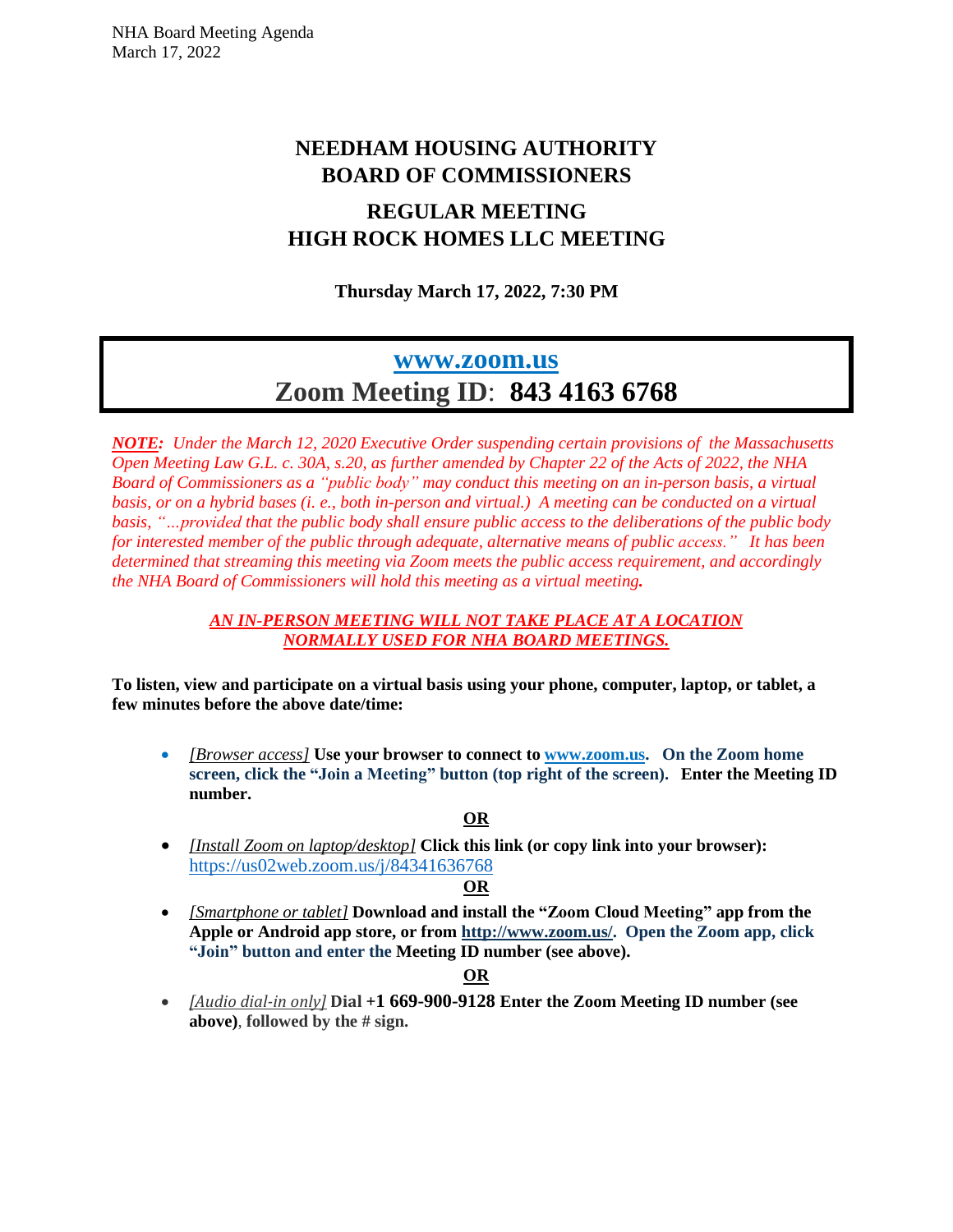# **NEEDHAM HOUSING AUTHORITY BOARD OF COMMISSIONERS**

## **REGULAR MEETING HIGH ROCK HOMES LLC MEETING**

**Thursday March 17, 2022, 7:30 PM**

# **[www.zoom.us](http://www.zoom.us/) Zoom Meeting ID**: **843 4163 6768**

*NOTE: Under the March 12, 2020 Executive Order suspending certain provisions of the Massachusetts* Open Meeting Law G.L. c. 30A, s.20, as further amended by Chapter 22 of the Acts of 2022, the NHA *Board of Commissioners as a "public body" may conduct this meeting on an in-person basis, a virtual* basis, or on a hybrid bases (i. e., both in-person and virtual.) A meeting can be conducted on a virtual *basis, "…provided that the public body shall ensure public access to the deliberations of the public body for interested member of the public through adequate, alternative means of public access." It has been determined that streaming this meeting via Zoom meets the public access requirement, and accordingly the NHA Board of Commissioners will hold this meeting as a virtual meeting.*

#### *AN IN-PERSON MEETING WILL NOT TAKE PLACE AT A LOCATION NORMALLY USED FOR NHA BOARD MEETINGS.*

**To listen, view and participate on a virtual basis using your phone, computer, laptop, or tablet, a few minutes before the above date/time:**

• *[Browser access]* **Use your browser to connect to [www.zoom.us.](http://www.zoom.us/) On the Zoom home screen, click the "Join a Meeting" button (top right of the screen). Enter the Meeting ID number.**

## **OR**

• *[Install Zoom on laptop/desktop]* **Click this link (or copy link into your browser):**  [https://us02web.zoom.us/j/8](https://us02web.zoom.us/j/5)4341636768

#### **OR**

• *[Smartphone or tablet]* **Download and install the "Zoom Cloud Meeting" app from the Apple or Android app store, or from [http://www.zoom.us/.](http://www.zoom.us/) Open the Zoom app, click "Join" button and enter the Meeting ID number (see above).**

## **OR**

• *[Audio dial-in only]* **Dial +1 669-900-9128 Enter the Zoom Meeting ID number (see above)**, **followed by the # sign.**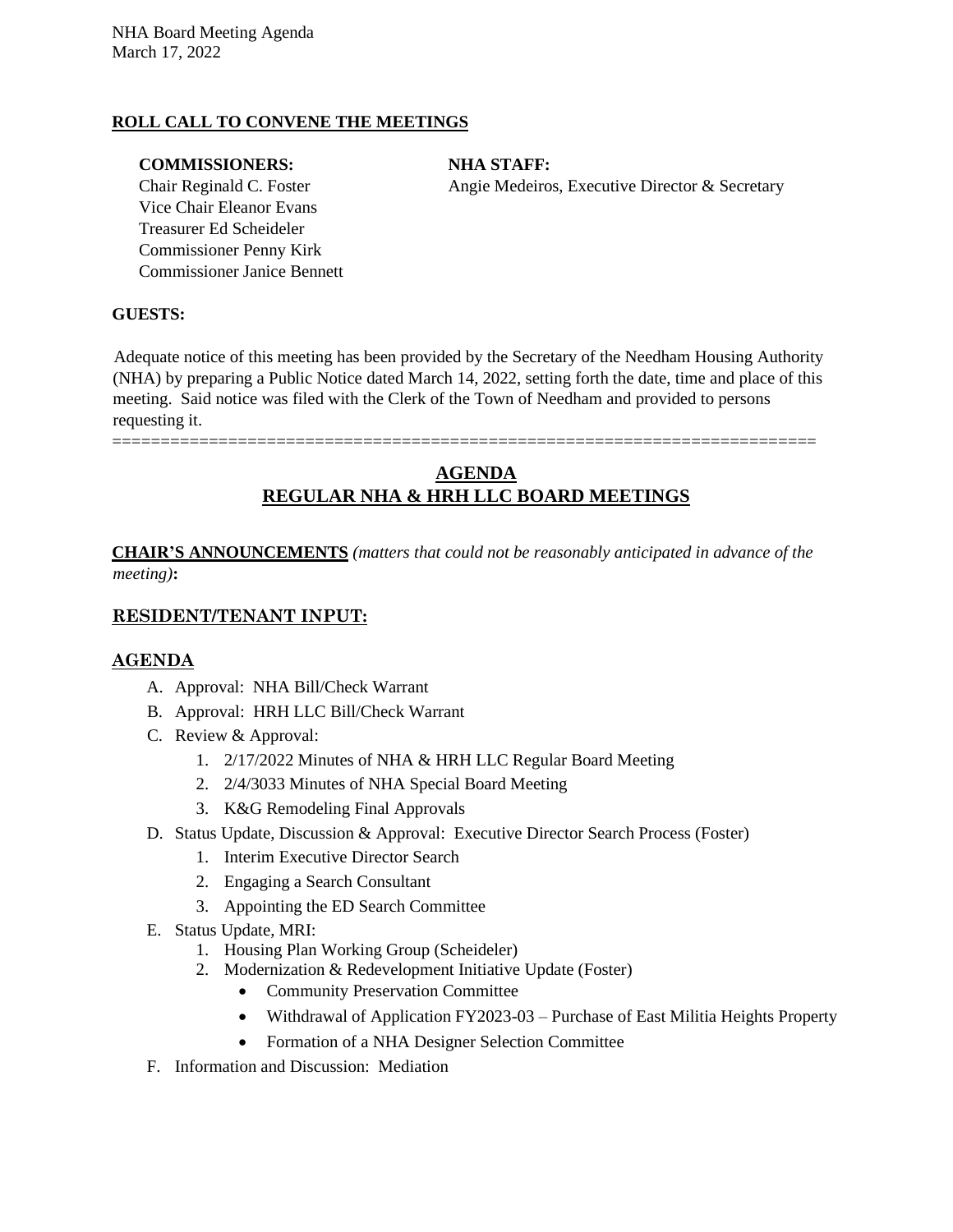#### **ROLL CALL TO CONVENE THE MEETINGS**

#### **COMMISSIONERS: NHA STAFF:**

Vice Chair Eleanor Evans Treasurer Ed Scheideler Commissioner Penny Kirk Commissioner Janice Bennett

Chair Reginald C. Foster Angie Medeiros, Executive Director & Secretary

#### **GUESTS:**

Adequate notice of this meeting has been provided by the Secretary of the Needham Housing Authority (NHA) by preparing a Public Notice dated March 14, 2022, setting forth the date, time and place of this meeting. Said notice was filed with the Clerk of the Town of Needham and provided to persons requesting it.

#### =========================================================================

## **AGENDA REGULAR NHA & HRH LLC BOARD MEETINGS**

**CHAIR'S ANNOUNCEMENTS** *(matters that could not be reasonably anticipated in advance of the meeting)***:**

#### **RESIDENT/TENANT INPUT:**

#### **AGENDA**

- A. Approval: NHA Bill/Check Warrant
- B. Approval: HRH LLC Bill/Check Warrant
- C. Review & Approval:
	- 1. 2/17/2022 Minutes of NHA & HRH LLC Regular Board Meeting
	- 2. 2/4/3033 Minutes of NHA Special Board Meeting
	- 3. K&G Remodeling Final Approvals
- D. Status Update, Discussion & Approval: Executive Director Search Process (Foster)
	- 1. Interim Executive Director Search
	- 2. Engaging a Search Consultant
	- 3. Appointing the ED Search Committee
- E. Status Update, MRI:
	- 1. Housing Plan Working Group (Scheideler)
	- 2. Modernization & Redevelopment Initiative Update (Foster)
		- Community Preservation Committee
		- Withdrawal of Application FY2023-03 Purchase of East Militia Heights Property
		- Formation of a NHA Designer Selection Committee
- F. Information and Discussion: Mediation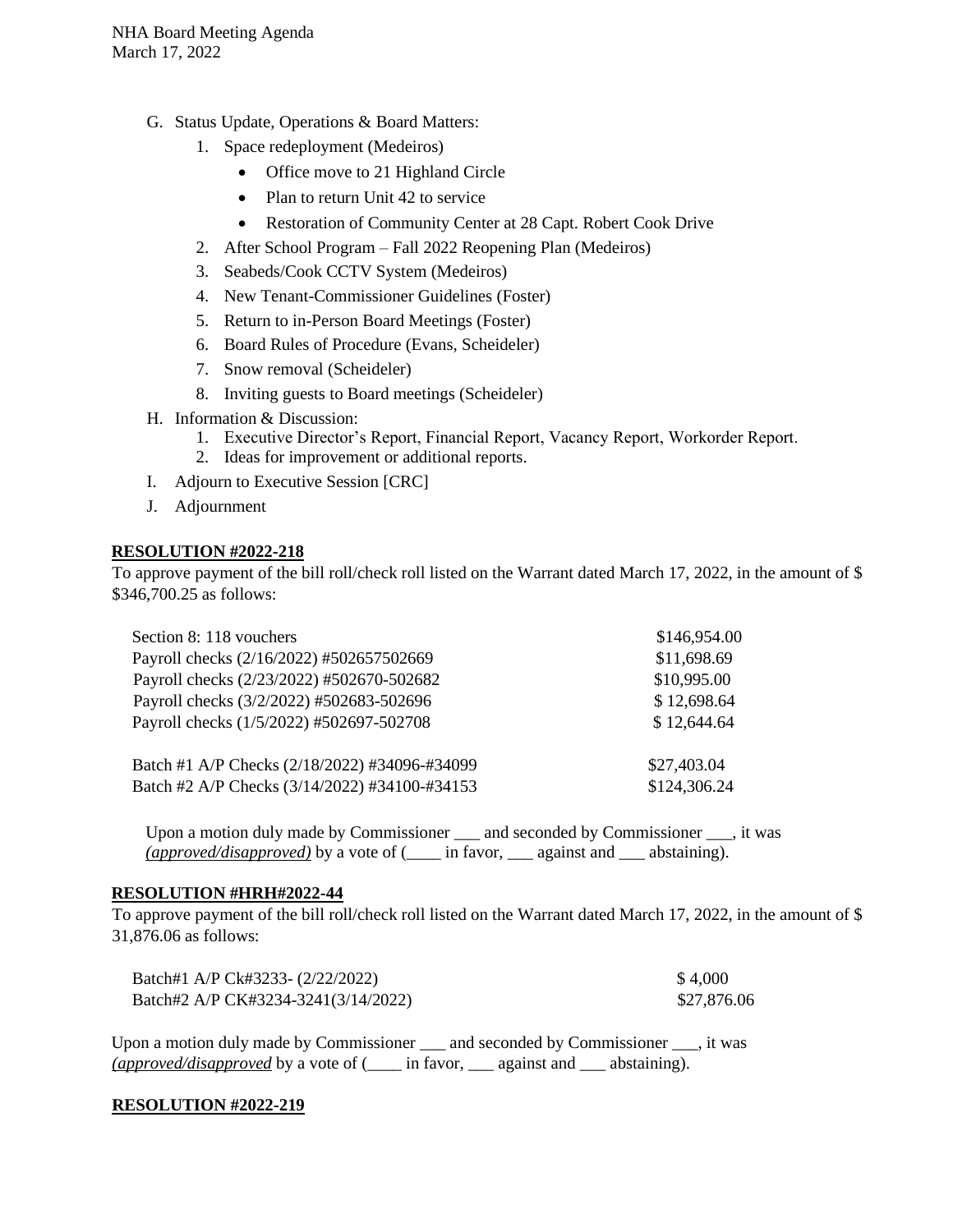- G. Status Update, Operations & Board Matters:
	- 1. Space redeployment (Medeiros)
		- Office move to 21 Highland Circle
		- Plan to return Unit 42 to service
		- Restoration of Community Center at 28 Capt. Robert Cook Drive
	- 2. After School Program Fall 2022 Reopening Plan (Medeiros)
	- 3. Seabeds/Cook CCTV System (Medeiros)
	- 4. New Tenant-Commissioner Guidelines (Foster)
	- 5. Return to in-Person Board Meetings (Foster)
	- 6. Board Rules of Procedure (Evans, Scheideler)
	- 7. Snow removal (Scheideler)
	- 8. Inviting guests to Board meetings (Scheideler)
- H. Information & Discussion:
	- 1. Executive Director's Report, Financial Report, Vacancy Report, Workorder Report.
	- 2. Ideas for improvement or additional reports.
- I. Adjourn to Executive Session [CRC]
- J. Adjournment

#### **RESOLUTION #2022-218**

To approve payment of the bill roll/check roll listed on the Warrant dated March 17, 2022, in the amount of \$ \$346,700.25 as follows:

| Section 8: 118 vouchers                       | \$146,954.00 |
|-----------------------------------------------|--------------|
| Payroll checks (2/16/2022) #502657502669      | \$11,698.69  |
| Payroll checks (2/23/2022) #502670-502682     | \$10,995.00  |
| Payroll checks (3/2/2022) #502683-502696      | \$12,698.64  |
| Payroll checks (1/5/2022) #502697-502708      | \$12,644.64  |
| Batch #1 A/P Checks (2/18/2022) #34096-#34099 | \$27,403.04  |
| Batch #2 A/P Checks (3/14/2022) #34100-#34153 | \$124,306.24 |

Upon a motion duly made by Commissioner and seconded by Commissioner , it was *(approved/disapproved)* by a vote of (\_\_\_\_ in favor, \_\_\_ against and \_\_\_ abstaining).

#### **RESOLUTION #HRH#2022-44**

To approve payment of the bill roll/check roll listed on the Warrant dated March 17, 2022, in the amount of \$ 31,876.06 as follows:

| Batch#1 A/P Ck#3233- (2/22/2022)    | \$4,000     |
|-------------------------------------|-------------|
| Batch#2 A/P CK#3234-3241(3/14/2022) | \$27,876.06 |

Upon a motion duly made by Commissioner \_\_\_ and seconded by Commissioner \_\_\_, it was *(approved/disapproved* by a vote of (\_\_\_\_ in favor, \_\_\_ against and \_\_\_ abstaining).

#### **RESOLUTION #2022-219**